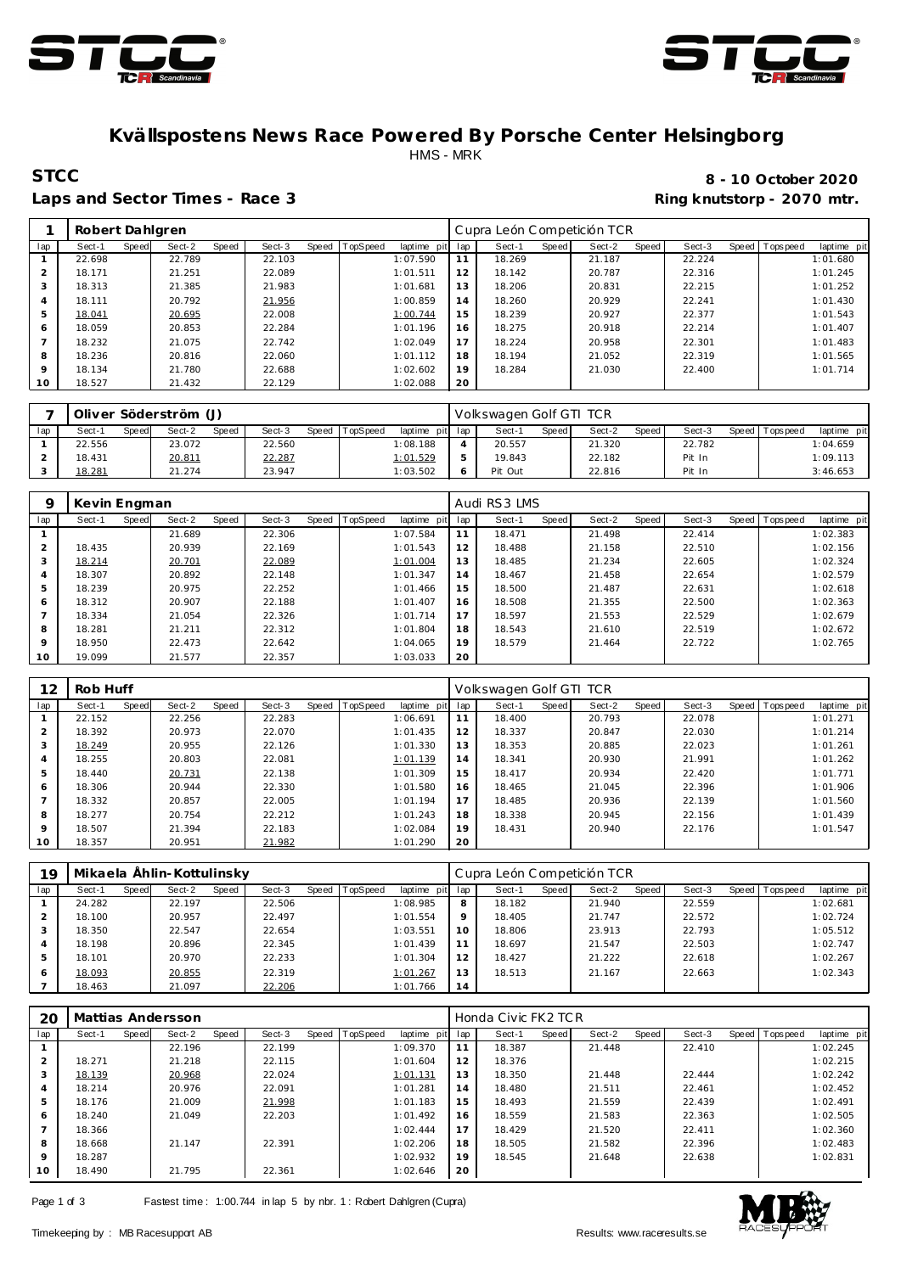



## **Kvällspostens News Race Powered By Porsche Center Helsingborg** HMS - MRK

#### Laps and Sector Times - Race 3 **Ring and Sector Times - Ring knutstorp** - 2070 mtr.

## **STCC 8 - 10 October 2020**

|                | Robert Dahlgren |       |        |       |        |       |          |             |     | Cupra León Competición TCR |       |        |       |        |                   |             |
|----------------|-----------------|-------|--------|-------|--------|-------|----------|-------------|-----|----------------------------|-------|--------|-------|--------|-------------------|-------------|
| lap            | Sect-1          | Speed | Sect-2 | Speed | Sect-3 | Speed | TopSpeed | laptime pit | lap | Sect-1                     | Speed | Sect-2 | Speed | Sect-3 | Speed   Tops peed | laptime pit |
|                | 22.698          |       | 22.789 |       | 22.103 |       |          | 1:07.590    | 11  | 18.269                     |       | 21.187 |       | 22.224 |                   | 1:01.680    |
| $\mathcal{P}$  | 18.171          |       | 21.251 |       | 22.089 |       |          | 1:01.511    | 12  | 18.142                     |       | 20.787 |       | 22.316 |                   | 1:01.245    |
| 3              | 18.313          |       | 21.385 |       | 21.983 |       |          | 1:01.681    | 13  | 18.206                     |       | 20.831 |       | 22.215 |                   | 1:01.252    |
| $\overline{4}$ | 18.111          |       | 20.792 |       | 21.956 |       |          | 1:00.859    | 14  | 18.260                     |       | 20.929 |       | 22.241 |                   | 1:01.430    |
| 5              | 18.041          |       | 20.695 |       | 22.008 |       |          | 1:00.744    | 15  | 18.239                     |       | 20.927 |       | 22.377 |                   | 1:01.543    |
| 6              | 18.059          |       | 20.853 |       | 22.284 |       |          | 1:01.196    | 16  | 18.275                     |       | 20.918 |       | 22.214 |                   | 1:01.407    |
|                | 18.232          |       | 21.075 |       | 22.742 |       |          | 1:02.049    | 17  | 18.224                     |       | 20.958 |       | 22.301 |                   | 1:01.483    |
| 8              | 18.236          |       | 20.816 |       | 22.060 |       |          | 1:01.112    | 18  | 18.194                     |       | 21.052 |       | 22.319 |                   | 1:01.565    |
| $\circ$        | 18.134          |       | 21.780 |       | 22.688 |       |          | 1:02.602    | 19  | 18.284                     |       | 21.030 |       | 22.400 |                   | 1:01.714    |
| 10             | 18.527          |       | 21.432 |       | 22.129 |       |          | 1:02.088    | 20  |                            |       |        |       |        |                   |             |
|                |                 |       |        |       |        |       |          |             |     |                            |       |        |       |        |                   |             |

|     | Oliver Söderström (J) |       |        |       |               |                |                 |     | Volkswagen Golf GTI TCR |       |        |       |        |       |           |             |
|-----|-----------------------|-------|--------|-------|---------------|----------------|-----------------|-----|-------------------------|-------|--------|-------|--------|-------|-----------|-------------|
| lap | Sect-1                | Speed | Sect-2 | Speed | Sect-3        | Speed TopSpeed | laptime pitl    | lap | Sect-1                  | Speed | Sect-2 | Speed | Sect-3 | Speed | Tops peed | laptime pit |
|     | 22.556                |       | 23.072 |       | 22.560        |                | 1:08.188        |     | 20.557                  |       | 21.320 |       | 22.782 |       |           | 1:04.659    |
|     | 18.431                |       | 20.811 |       | <u>22.287</u> |                | <u>1:01.529</u> |     | 19.843                  |       | 22.182 |       | Pit In |       |           | 1:09.113    |
|     | 18.281                |       | 21.274 |       | 23.947        |                | 1:03.502        |     | Pit Out                 |       | 22.816 |       | Pit In |       |           | 3:46.653    |

|                | Kevin Engman |       |        |       |        |                |                 |     | Audi RS3 LMS |       |        |       |        |                |             |
|----------------|--------------|-------|--------|-------|--------|----------------|-----------------|-----|--------------|-------|--------|-------|--------|----------------|-------------|
| lap            | Sect-1       | Speed | Sect-2 | Speed | Sect-3 | Speed TopSpeed | laptime<br>pitl | lap | Sect-1       | Speed | Sect-2 | Speed | Sect-3 | Speed Topspeed | laptime pit |
|                |              |       | 21.689 |       | 22.306 |                | 1:07.584        | 11  | 18.471       |       | 21.498 |       | 22.414 |                | 1:02.383    |
| 2              | 18.435       |       | 20.939 |       | 22.169 |                | 1:01.543        | 12  | 18.488       |       | 21.158 |       | 22.510 |                | 1:02.156    |
| 3              | 18.214       |       | 20.701 |       | 22.089 |                | 1:01.004        | 13  | 18.485       |       | 21.234 |       | 22.605 |                | 1:02.324    |
| 4              | 18.307       |       | 20.892 |       | 22.148 |                | 1:01.347        | 14  | 18.467       |       | 21.458 |       | 22.654 |                | 1:02.579    |
| 5              | 18.239       |       | 20.975 |       | 22.252 |                | 1:01.466        | 15  | 18.500       |       | 21.487 |       | 22.631 |                | 1:02.618    |
| 6              | 18.312       |       | 20.907 |       | 22.188 |                | 1:01.407        | 16  | 18.508       |       | 21.355 |       | 22.500 |                | 1:02.363    |
| $\overline{7}$ | 18.334       |       | 21.054 |       | 22.326 |                | 1:01.714        | 17  | 18.597       |       | 21.553 |       | 22.529 |                | 1:02.679    |
| 8              | 18.281       |       | 21.211 |       | 22.312 |                | 1:01.804        | 18  | 18.543       |       | 21.610 |       | 22.519 |                | 1:02.672    |
| $\mathsf Q$    | 18.950       |       | 22.473 |       | 22.642 |                | 1:04.065        | 19  | 18.579       |       | 21.464 |       | 22.722 |                | 1:02.765    |
| 10             | 19.099       |       | 21.577 |       | 22.357 |                | 1:03.033        | 20  |              |       |        |       |        |                |             |

| 12      | Rob Huff |       |        |       |        |       |          |             |     | Volkswagen Golf GTI TCR |       |        |       |        |       |           |             |
|---------|----------|-------|--------|-------|--------|-------|----------|-------------|-----|-------------------------|-------|--------|-------|--------|-------|-----------|-------------|
| lap     | Sect-1   | Speed | Sect-2 | Speed | Sect-3 | Speed | TopSpeed | laptime pit | lap | Sect-1                  | Speed | Sect-2 | Speed | Sect-3 | Speed | Tops peed | laptime pit |
|         | 22.152   |       | 22.256 |       | 22.283 |       |          | 1:06.691    | 11  | 18.400                  |       | 20.793 |       | 22.078 |       |           | 1:01.271    |
|         | 18.392   |       | 20.973 |       | 22.070 |       |          | 1:01.435    | 12  | 18.337                  |       | 20.847 |       | 22.030 |       |           | 1:01.214    |
| 3       | 18.249   |       | 20.955 |       | 22.126 |       |          | 1:01.330    | 13  | 18.353                  |       | 20.885 |       | 22.023 |       |           | 1:01.261    |
| 4       | 18.255   |       | 20.803 |       | 22.081 |       |          | 1:01.139    | 14  | 18.341                  |       | 20.930 |       | 21.991 |       |           | 1:01.262    |
| 5       | 18.440   |       | 20.731 |       | 22.138 |       |          | 1:01.309    | 15  | 18.417                  |       | 20.934 |       | 22.420 |       |           | 1:01.771    |
| 6       | 18.306   |       | 20.944 |       | 22.330 |       |          | 1:01.580    | 16  | 18.465                  |       | 21.045 |       | 22.396 |       |           | 1:01.906    |
|         | 18.332   |       | 20.857 |       | 22.005 |       |          | 1:01.194    | 17  | 18.485                  |       | 20.936 |       | 22.139 |       |           | 1:01.560    |
| 8       | 18.277   |       | 20.754 |       | 22.212 |       |          | 1:01.243    | 18  | 18.338                  |       | 20.945 |       | 22.156 |       |           | 1:01.439    |
| $\circ$ | 18.507   |       | 21.394 |       | 22.183 |       |          | 1:02.084    | 19  | 18.431                  |       | 20.940 |       | 22.176 |       |           | 1:01.547    |
| 10      | 18.357   |       | 20.951 |       | 21.982 |       |          | 1:01.290    | 20  |                         |       |        |       |        |       |           |             |

| 19  |        |       | Mikaela Ählin-Kottulinsky |       |        |       |          |             |     | Cupra León Competición TCR |       |        |       |        |                |             |
|-----|--------|-------|---------------------------|-------|--------|-------|----------|-------------|-----|----------------------------|-------|--------|-------|--------|----------------|-------------|
| lap | Sect-1 | Speed | Sect-2                    | Speed | Sect-3 | Speed | TopSpeed | laptime pit | lap | Sect-1                     | Speed | Sect-2 | Speed | Sect-3 | Speed Topspeed | laptime pit |
|     | 24.282 |       | 22.197                    |       | 22.506 |       |          | 1:08.985    | 8   | 18.182                     |       | 21.940 |       | 22.559 |                | 1:02.681    |
|     | 18.100 |       | 20.957                    |       | 22.497 |       |          | 1:01.554    | 9   | 18.405                     |       | 21.747 |       | 22.572 |                | 1:02.724    |
|     | 18.350 |       | 22.547                    |       | 22.654 |       |          | 1:03.551    | 10  | 18.806                     |       | 23.913 |       | 22.793 |                | 1:05.512    |
| 4   | 18.198 |       | 20.896                    |       | 22.345 |       |          | 1:01.439    |     | 18.697                     |       | 21.547 |       | 22.503 |                | 1:02.747    |
| 5   | 18.101 |       | 20.970                    |       | 22.233 |       |          | 1:01.304    | 12  | 18.427                     |       | 21.222 |       | 22.618 |                | 1:02.267    |
| 6   | 18.093 |       | 20.855                    |       | 22.319 |       |          | 1:01.267    | 13  | 18.513                     |       | 21.167 |       | 22.663 |                | 1:02.343    |
|     | 18.463 |       | 21.097                    |       | 22.206 |       |          | 1:01.766    | 14  |                            |       |        |       |        |                |             |

| 20      |        |       | Mattias Andersson |       |        |       |                 |             |     | Honda Civic FK2 TCR |       |        |       |        |                |             |
|---------|--------|-------|-------------------|-------|--------|-------|-----------------|-------------|-----|---------------------|-------|--------|-------|--------|----------------|-------------|
| lap     | Sect-1 | Speed | Sect-2            | Speed | Sect-3 | Speed | <b>TopSpeed</b> | laptime pit | lap | Sect-1              | Speed | Sect-2 | Speed | Sect-3 | Speed Topspeed | laptime pit |
|         |        |       | 22.196            |       | 22.199 |       |                 | 1:09.370    | 11  | 18.387              |       | 21.448 |       | 22.410 |                | 1:02.245    |
| 2       | 18.271 |       | 21.218            |       | 22.115 |       |                 | 1:01.604    | 12  | 18.376              |       |        |       |        |                | 1:02.215    |
| 3       | 18.139 |       | 20.968            |       | 22.024 |       |                 | 1:01.131    | 13  | 18.350              |       | 21.448 |       | 22.444 |                | 1:02.242    |
| 4       | 18.214 |       | 20.976            |       | 22.091 |       |                 | 1:01.281    | 14  | 18.480              |       | 21.511 |       | 22.461 |                | 1:02.452    |
| 5       | 18.176 |       | 21.009            |       | 21.998 |       |                 | 1:01.183    | 15  | 18.493              |       | 21.559 |       | 22.439 |                | 1:02.491    |
| 6       | 18.240 |       | 21.049            |       | 22.203 |       |                 | 1:01.492    | 16  | 18.559              |       | 21.583 |       | 22.363 |                | 1:02.505    |
|         | 18.366 |       |                   |       |        |       |                 | 1:02.444    | 17  | 18.429              |       | 21.520 |       | 22.411 |                | 1:02.360    |
| 8       | 18.668 |       | 21.147            |       | 22.391 |       |                 | 1:02.206    | 18  | 18.505              |       | 21.582 |       | 22.396 |                | 1:02.483    |
| $\circ$ | 18.287 |       |                   |       |        |       |                 | 1:02.932    | 19  | 18.545              |       | 21.648 |       | 22.638 |                | 1:02.831    |
| 10      | 18.490 |       | 21.795            |       | 22.361 |       |                 | 1:02.646    | 20  |                     |       |        |       |        |                |             |

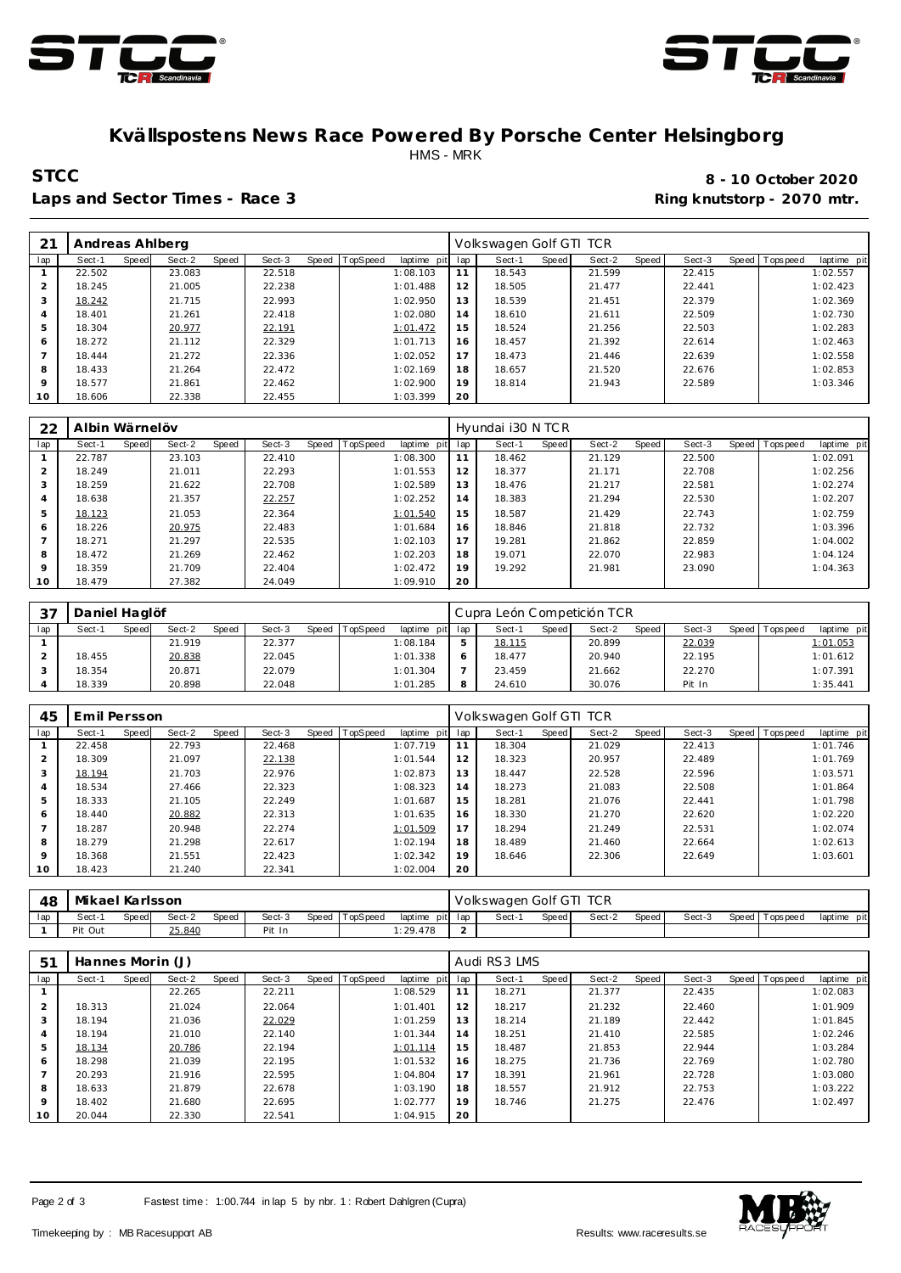



#### **Kvällspostens News Race Powered By Porsche Center Helsingborg** HMS - MRK

#### Laps and Sector Times - Race 3 **Ring and Sector Times - Ring knutstorp** - 2070 mtr.

# **STCC 8 - 10 October 2020**

| 21             | Andreas Ahlberg |       |        |       |        |                  |             |     | Volkswagen Golf GTI TCR |       |        |       |        |                 |             |
|----------------|-----------------|-------|--------|-------|--------|------------------|-------------|-----|-------------------------|-------|--------|-------|--------|-----------------|-------------|
| lap            | Sect-1          | Speed | Sect-2 | Speed | Sect-3 | Speed   TopSpeed | laptime pit | lap | Sect-1                  | Speed | Sect-2 | Speed | Sect-3 | Speed Tops peed | laptime pit |
|                | 22.502          |       | 23.083 |       | 22.518 |                  | 1:08.103    | 11  | 18.543                  |       | 21.599 |       | 22.415 |                 | 1:02.557    |
| $\overline{2}$ | 18.245          |       | 21.005 |       | 22.238 |                  | 1:01.488    | 12  | 18.505                  |       | 21.477 |       | 22.441 |                 | 1:02.423    |
| 3              | 18.242          |       | 21.715 |       | 22.993 |                  | 1:02.950    | 13  | 18.539                  |       | 21.451 |       | 22.379 |                 | 1:02.369    |
| $\overline{4}$ | 18.401          |       | 21.261 |       | 22.418 |                  | 1:02.080    | 14  | 18.610                  |       | 21.611 |       | 22.509 |                 | 1:02.730    |
| 5              | 18.304          |       | 20.977 |       | 22.191 |                  | 1:01.472    | 15  | 18.524                  |       | 21.256 |       | 22.503 |                 | 1:02.283    |
| 6              | 18.272          |       | 21.112 |       | 22.329 |                  | 1:01.713    | 16  | 18.457                  |       | 21.392 |       | 22.614 |                 | 1:02.463    |
|                | 18.444          |       | 21.272 |       | 22.336 |                  | 1:02.052    | 17  | 18.473                  |       | 21.446 |       | 22.639 |                 | 1:02.558    |
| 8              | 18.433          |       | 21.264 |       | 22.472 |                  | 1:02.169    | 18  | 18.657                  |       | 21.520 |       | 22.676 |                 | 1:02.853    |
| $\mathsf Q$    | 18.577          |       | 21.861 |       | 22.462 |                  | 1:02.900    | 19  | 18.814                  |       | 21.943 |       | 22.589 |                 | 1:03.346    |
| 10             | 18.606          |       | 22.338 |       | 22.455 |                  | 1:03.399    | 20  |                         |       |        |       |        |                 |             |

| 22             | Albin Wärnelöv |       |        |       |        |       |                 |             |     | Hyundai i30 N TCR |       |        |       |        |                |             |
|----------------|----------------|-------|--------|-------|--------|-------|-----------------|-------------|-----|-------------------|-------|--------|-------|--------|----------------|-------------|
| lap            | Sect-1         | Speed | Sect-2 | Speed | Sect-3 | Speed | <b>TopSpeed</b> | laptime pit | lap | Sect-1            | Speed | Sect-2 | Speed | Sect-3 | Speed Topspeed | laptime pit |
|                | 22.787         |       | 23.103 |       | 22.410 |       |                 | 1:08.300    | 11  | 18.462            |       | 21.129 |       | 22.500 |                | 1:02.091    |
| $\overline{2}$ | 18.249         |       | 21.011 |       | 22.293 |       |                 | 1:01.553    | 12  | 18.377            |       | 21.171 |       | 22.708 |                | 1:02.256    |
| 3              | 18.259         |       | 21.622 |       | 22.708 |       |                 | 1:02.589    | 13  | 18.476            |       | 21.217 |       | 22.581 |                | 1:02.274    |
| 4              | 18.638         |       | 21.357 |       | 22.257 |       |                 | 1:02.252    | 14  | 18.383            |       | 21.294 |       | 22.530 |                | 1:02.207    |
| 5              | 18.123         |       | 21.053 |       | 22.364 |       |                 | 1:01.540    | 15  | 18.587            |       | 21.429 |       | 22.743 |                | 1:02.759    |
| 6              | 18.226         |       | 20.975 |       | 22.483 |       |                 | 1:01.684    | 16  | 18.846            |       | 21.818 |       | 22.732 |                | 1:03.396    |
|                | 18.271         |       | 21.297 |       | 22.535 |       |                 | 1:02.103    | 17  | 19.281            |       | 21.862 |       | 22.859 |                | 1:04.002    |
| 8              | 18.472         |       | 21.269 |       | 22.462 |       |                 | 1:02.203    | 18  | 19.071            |       | 22.070 |       | 22.983 |                | 1:04.124    |
| $\circ$        | 18.359         |       | 21.709 |       | 22.404 |       |                 | 1:02.472    | 19  | 19.292            |       | 21.981 |       | 23.090 |                | 1:04.363    |
| 10             | 18.479         |       | 27.382 |       | 24.049 |       |                 | 1:09.910    | 20  |                   |       |        |       |        |                |             |

| 37  | Daniel Haglöf |       |        |       |        |                |                 | Cupra León Competición TCR |              |        |       |        |                 |             |
|-----|---------------|-------|--------|-------|--------|----------------|-----------------|----------------------------|--------------|--------|-------|--------|-----------------|-------------|
| lap | Sect-1        | Speed | Sect-2 | Speed | Sect-3 | Speed TopSpeed | laptime pit lap | Sect-1                     | <b>Speed</b> | Sect-2 | Speed | Sect-3 | Speed Tops peed | laptime pit |
|     |               |       | 21.919 |       | 22.377 |                | 1:08.184        | 18.115                     |              | 20.899 |       | 22.039 |                 | 1:01.053    |
|     | 18.455        |       | 20.838 |       | 22.045 |                | 1:01.338        | 18.477                     |              | 20.940 |       | 22.195 |                 | 1:01.612    |
|     | 18.354        |       | 20.871 |       | 22.079 |                | 1:01.304        | 23.459                     |              | 21.662 |       | 22.270 |                 | 1:07.391    |
|     | 18.339        |       | 20.898 |       | 22.048 |                | 1:01.285        | 24.610                     |              | 30.076 |       | Pit In |                 | 1:35.441    |

| 45      | Emil Persson |       |        |       |        |       |          |             |     | Volkswagen Golf GTI TCR |       |        |       |        |                  |             |
|---------|--------------|-------|--------|-------|--------|-------|----------|-------------|-----|-------------------------|-------|--------|-------|--------|------------------|-------------|
| lap     | Sect-1       | Speed | Sect-2 | Speed | Sect-3 | Speed | TopSpeed | laptime pit | lap | Sect-1                  | Speed | Sect-2 | Speed | Sect-3 | Speed   Topspeed | laptime pit |
|         | 22.458       |       | 22.793 |       | 22.468 |       |          | 1:07.719    | 11  | 18.304                  |       | 21.029 |       | 22.413 |                  | 1:01.746    |
|         | 18.309       |       | 21.097 |       | 22.138 |       |          | 1:01.544    | 12  | 18.323                  |       | 20.957 |       | 22.489 |                  | 1:01.769    |
| 3       | 18.194       |       | 21.703 |       | 22.976 |       |          | 1:02.873    | 13  | 18.447                  |       | 22.528 |       | 22.596 |                  | 1:03.571    |
| 4       | 18.534       |       | 27.466 |       | 22.323 |       |          | 1:08.323    | 14  | 18.273                  |       | 21.083 |       | 22.508 |                  | 1:01.864    |
| 5       | 18.333       |       | 21.105 |       | 22.249 |       |          | 1:01.687    | 15  | 18.281                  |       | 21.076 |       | 22.441 |                  | 1:01.798    |
| 6       | 18.440       |       | 20.882 |       | 22.313 |       |          | 1:01.635    | 16  | 18.330                  |       | 21.270 |       | 22.620 |                  | 1:02.220    |
|         | 18.287       |       | 20.948 |       | 22.274 |       |          | 1:01.509    | 17  | 18.294                  |       | 21.249 |       | 22.531 |                  | 1:02.074    |
| 8       | 18.279       |       | 21.298 |       | 22.617 |       |          | 1:02.194    | 18  | 18.489                  |       | 21.460 |       | 22.664 |                  | 1:02.613    |
| $\circ$ | 18.368       |       | 21.551 |       | 22.423 |       |          | 1:02.342    | 19  | 18.646                  |       | 22.306 |       | 22.649 |                  | 1:03.601    |
| 10      | 18.423       |       | 21.240 |       | 22.341 |       |          | 1:02.004    | 20  |                         |       |        |       |        |                  |             |

| 48  | Mikael Karlsson |       |        |       |        |                |                 |        | Volkswagen Golf GTI TCR |              |        |       |        |                   |             |
|-----|-----------------|-------|--------|-------|--------|----------------|-----------------|--------|-------------------------|--------------|--------|-------|--------|-------------------|-------------|
| lap | Sect-'          | Speed | Sect-2 | Speed | Sect-3 | Speed TopSpeed | laptime pit lap |        | Sect-                   | <b>Speed</b> | Sect-2 | Speed | Sect-3 | Speed   Tops peed | laptime pit |
|     | Pit Out         |       | 25.840 |       | Pit In |                | : 29.478        | $\sim$ |                         |              |        |       |        |                   |             |

| 51      | Hannes Morin (J) |       |        |       |        |       |                 |             |     | Audi RS3 LMS |       |        |       |        |                  |             |
|---------|------------------|-------|--------|-------|--------|-------|-----------------|-------------|-----|--------------|-------|--------|-------|--------|------------------|-------------|
| lap     | Sect-1           | Speed | Sect-2 | Speed | Sect-3 | Speed | <b>TopSpeed</b> | laptime pit | lap | Sect-1       | Speed | Sect-2 | Speed | Sect-3 | Speed   Topspeed | laptime pit |
|         |                  |       | 22.265 |       | 22.211 |       |                 | 1:08.529    | 11  | 18.271       |       | 21.377 |       | 22.435 |                  | 1:02.083    |
|         | 18.313           |       | 21.024 |       | 22.064 |       |                 | 1:01.401    | 12  | 18.217       |       | 21.232 |       | 22.460 |                  | 1:01.909    |
|         | 18.194           |       | 21.036 |       | 22.029 |       |                 | 1:01.259    | 13  | 18.214       |       | 21.189 |       | 22.442 |                  | 1:01.845    |
|         | 18.194           |       | 21.010 |       | 22.140 |       |                 | 1:01.344    | 14  | 18.251       |       | 21.410 |       | 22.585 |                  | 1:02.246    |
|         | 18.134           |       | 20.786 |       | 22.194 |       |                 | 1:01.114    | 15  | 18.487       |       | 21.853 |       | 22.944 |                  | 1:03.284    |
| 6       | 18.298           |       | 21.039 |       | 22.195 |       |                 | 1:01.532    | 16  | 18.275       |       | 21.736 |       | 22.769 |                  | 1:02.780    |
|         | 20.293           |       | 21.916 |       | 22.595 |       |                 | 1:04.804    | 17  | 18.391       |       | 21.961 |       | 22.728 |                  | 1:03.080    |
| 8       | 18.633           |       | 21.879 |       | 22.678 |       |                 | 1:03.190    | 18  | 18.557       |       | 21.912 |       | 22.753 |                  | 1:03.222    |
| $\circ$ | 18.402           |       | 21.680 |       | 22.695 |       |                 | 1:02.777    | 19  | 18.746       |       | 21.275 |       | 22.476 |                  | 1:02.497    |
| 10      | 20.044           |       | 22.330 |       | 22.541 |       |                 | 1:04.915    | 20  |              |       |        |       |        |                  |             |